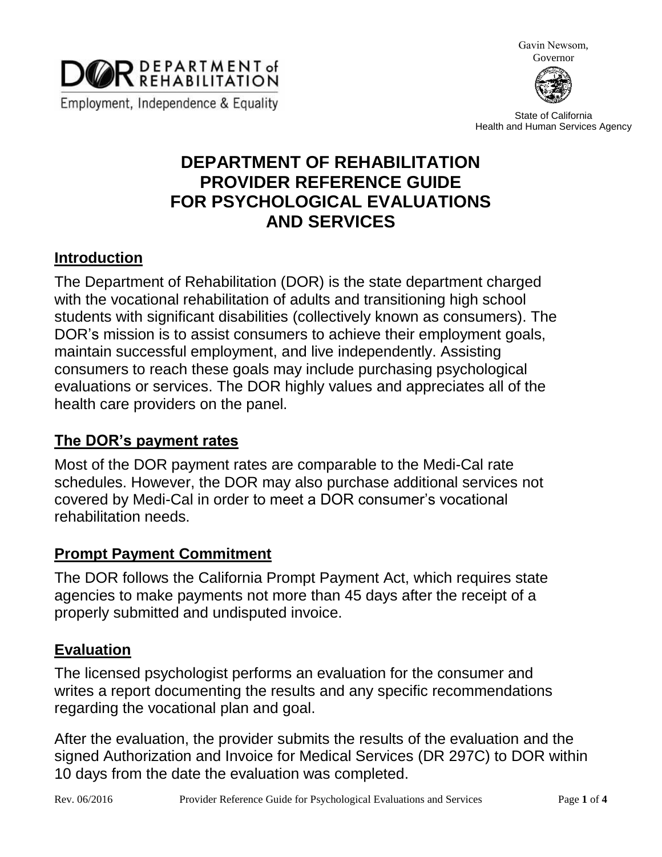

Gavin Newsom, Governor



State of California Health and Human Services Agency

# **DEPARTMENT OF REHABILITATION PROVIDER REFERENCE GUIDE FOR PSYCHOLOGICAL EVALUATIONS AND SERVICES**

### **Introduction**

The Department of Rehabilitation (DOR) is the state department charged with the vocational rehabilitation of adults and transitioning high school students with significant disabilities (collectively known as consumers). The DOR's mission is to assist consumers to achieve their employment goals, maintain successful employment, and live independently. Assisting consumers to reach these goals may include purchasing psychological evaluations or services. The DOR highly values and appreciates all of the health care providers on the panel.

### **The DOR's payment rates**

Most of the DOR payment rates are comparable to the Medi-Cal rate schedules. However, the DOR may also purchase additional services not covered by Medi-Cal in order to meet a DOR consumer's vocational rehabilitation needs.

#### **Prompt Payment Commitment**

The DOR follows the California Prompt Payment Act, which requires state agencies to make payments not more than 45 days after the receipt of a properly submitted and undisputed invoice.

### **Evaluation**

The licensed psychologist performs an evaluation for the consumer and writes a report documenting the results and any specific recommendations regarding the vocational plan and goal.

After the evaluation, the provider submits the results of the evaluation and the signed Authorization and Invoice for Medical Services (DR 297C) to DOR within 10 days from the date the evaluation was completed.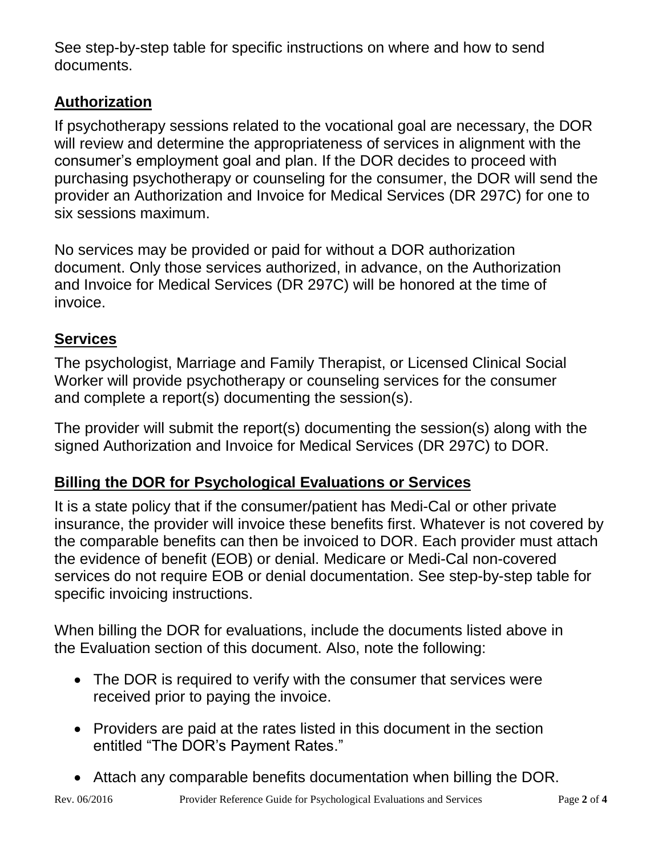See step-by-step table for specific instructions on where and how to send documents.

### **Authorization**

If psychotherapy sessions related to the vocational goal are necessary, the DOR will review and determine the appropriateness of services in alignment with the consumer's employment goal and plan. If the DOR decides to proceed with purchasing psychotherapy or counseling for the consumer, the DOR will send the provider an Authorization and Invoice for Medical Services (DR 297C) for one to six sessions maximum.

No services may be provided or paid for without a DOR authorization document. Only those services authorized, in advance, on the Authorization and Invoice for Medical Services (DR 297C) will be honored at the time of invoice.

## **Services**

The psychologist, Marriage and Family Therapist, or Licensed Clinical Social Worker will provide psychotherapy or counseling services for the consumer and complete a report(s) documenting the session(s).

The provider will submit the report(s) documenting the session(s) along with the signed Authorization and Invoice for Medical Services (DR 297C) to DOR.

## **Billing the DOR for Psychological Evaluations or Services**

It is a state policy that if the consumer/patient has Medi-Cal or other private insurance, the provider will invoice these benefits first. Whatever is not covered by the comparable benefits can then be invoiced to DOR. Each provider must attach the evidence of benefit (EOB) or denial. Medicare or Medi-Cal non-covered services do not require EOB or denial documentation. See step-by-step table for specific invoicing instructions.

When billing the DOR for evaluations, include the documents listed above in the Evaluation section of this document. Also, note the following:

- The DOR is required to verify with the consumer that services were received prior to paying the invoice.
- Providers are paid at the rates listed in this document in the section entitled "The DOR's Payment Rates."
- Attach any comparable benefits documentation when billing the DOR.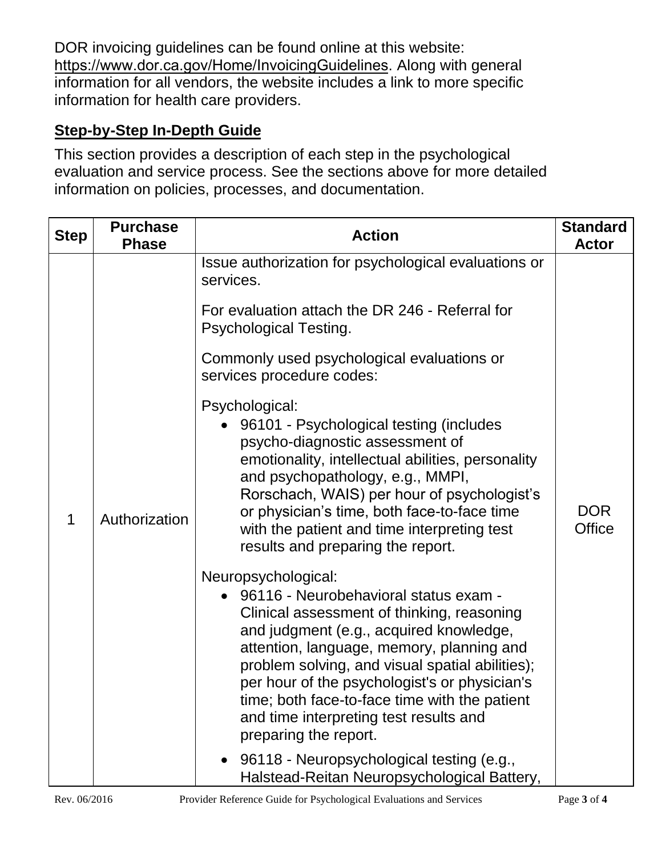DOR invoicing guidelines can be found online at this website: [https://www.dor.ca.gov/Home/InvoicingGuidelines](http://dor.ca.gov/Public/Invoicing-Guidelines-for-Vendors.html). Along with general information for all vendors, the website includes a link to more specific information for health care providers.

### **Step-by-Step In-Depth Guide**

This section provides a description of each step in the psychological evaluation and service process. See the sections above for more detailed information on policies, processes, and documentation.

| <b>Step</b> | <b>Purchase</b><br><b>Phase</b> | <b>Action</b>                                                                                                                                                                                                                                                                                                                                                                                                              | <b>Standard</b><br><b>Actor</b> |
|-------------|---------------------------------|----------------------------------------------------------------------------------------------------------------------------------------------------------------------------------------------------------------------------------------------------------------------------------------------------------------------------------------------------------------------------------------------------------------------------|---------------------------------|
|             |                                 | Issue authorization for psychological evaluations or<br>services.                                                                                                                                                                                                                                                                                                                                                          |                                 |
|             |                                 | For evaluation attach the DR 246 - Referral for<br><b>Psychological Testing.</b>                                                                                                                                                                                                                                                                                                                                           |                                 |
|             |                                 | Commonly used psychological evaluations or<br>services procedure codes:                                                                                                                                                                                                                                                                                                                                                    |                                 |
| 1           | Authorization                   | Psychological:<br>96101 - Psychological testing (includes<br>psycho-diagnostic assessment of<br>emotionality, intellectual abilities, personality<br>and psychopathology, e.g., MMPI,<br>Rorschach, WAIS) per hour of psychologist's<br>or physician's time, both face-to-face time<br>with the patient and time interpreting test<br>results and preparing the report.                                                    | <b>DOR</b><br><b>Office</b>     |
|             |                                 | Neuropsychological:<br>96116 - Neurobehavioral status exam -<br>Clinical assessment of thinking, reasoning<br>and judgment (e.g., acquired knowledge,<br>attention, language, memory, planning and<br>problem solving, and visual spatial abilities);<br>per hour of the psychologist's or physician's<br>time; both face-to-face time with the patient<br>and time interpreting test results and<br>preparing the report. |                                 |
|             |                                 | 96118 - Neuropsychological testing (e.g.,<br>$\bullet$<br>Halstead-Reitan Neuropsychological Battery,                                                                                                                                                                                                                                                                                                                      |                                 |